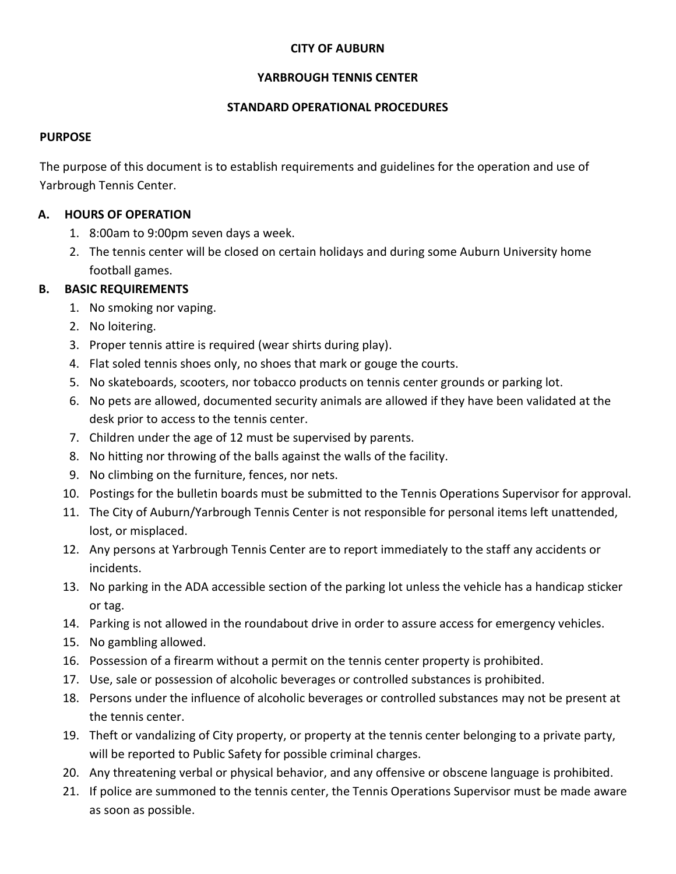### **CITY OF AUBURN**

### **YARBROUGH TENNIS CENTER**

### **STANDARD OPERATIONAL PROCEDURES**

#### **PURPOSE**

The purpose of this document is to establish requirements and guidelines for the operation and use of Yarbrough Tennis Center.

### **A. HOURS OF OPERATION**

- 1. 8:00am to 9:00pm seven days a week.
- 2. The tennis center will be closed on certain holidays and during some Auburn University home football games.

### **B. BASIC REQUIREMENTS**

- 1. No smoking nor vaping.
- 2. No loitering.
- 3. Proper tennis attire is required (wear shirts during play).
- 4. Flat soled tennis shoes only, no shoes that mark or gouge the courts.
- 5. No skateboards, scooters, nor tobacco products on tennis center grounds or parking lot.
- 6. No pets are allowed, documented security animals are allowed if they have been validated at the desk prior to access to the tennis center.
- 7. Children under the age of 12 must be supervised by parents.
- 8. No hitting nor throwing of the balls against the walls of the facility.
- 9. No climbing on the furniture, fences, nor nets.
- 10. Postings for the bulletin boards must be submitted to the Tennis Operations Supervisor for approval.
- 11. The City of Auburn/Yarbrough Tennis Center is not responsible for personal items left unattended, lost, or misplaced.
- 12. Any persons at Yarbrough Tennis Center are to report immediately to the staff any accidents or incidents.
- 13. No parking in the ADA accessible section of the parking lot unless the vehicle has a handicap sticker or tag.
- 14. Parking is not allowed in the roundabout drive in order to assure access for emergency vehicles.
- 15. No gambling allowed.
- 16. Possession of a firearm without a permit on the tennis center property is prohibited.
- 17. Use, sale or possession of alcoholic beverages or controlled substances is prohibited.
- 18. Persons under the influence of alcoholic beverages or controlled substances may not be present at the tennis center.
- 19. Theft or vandalizing of City property, or property at the tennis center belonging to a private party, will be reported to Public Safety for possible criminal charges.
- 20. Any threatening verbal or physical behavior, and any offensive or obscene language is prohibited.
- 21. If police are summoned to the tennis center, the Tennis Operations Supervisor must be made aware as soon as possible.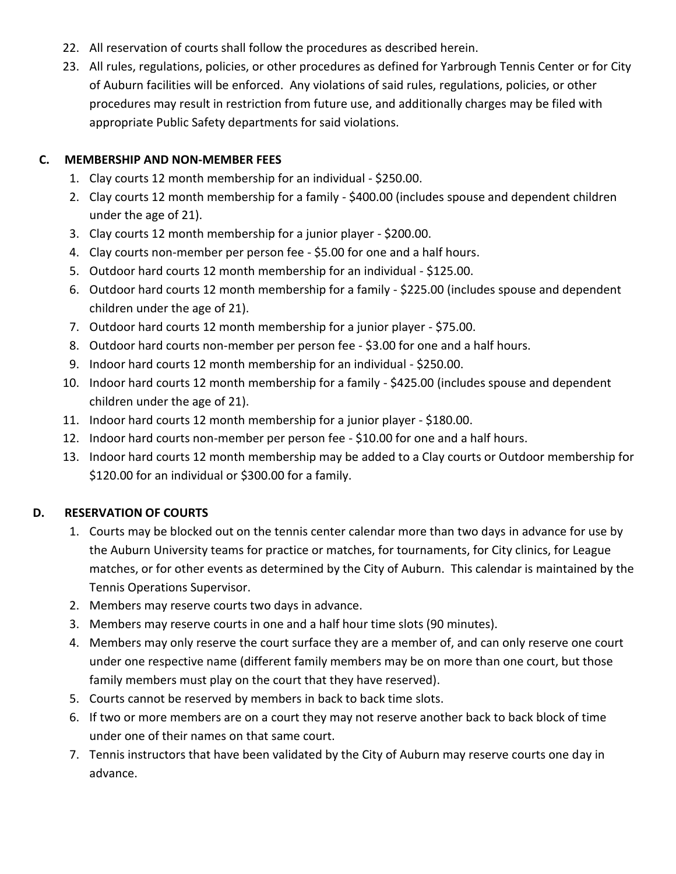- 22. All reservation of courts shall follow the procedures as described herein.
- 23. All rules, regulations, policies, or other procedures as defined for Yarbrough Tennis Center or for City of Auburn facilities will be enforced. Any violations of said rules, regulations, policies, or other procedures may result in restriction from future use, and additionally charges may be filed with appropriate Public Safety departments for said violations.

## **C. MEMBERSHIP AND NON-MEMBER FEES**

- 1. Clay courts 12 month membership for an individual \$250.00.
- 2. Clay courts 12 month membership for a family \$400.00 (includes spouse and dependent children under the age of 21).
- 3. Clay courts 12 month membership for a junior player \$200.00.
- 4. Clay courts non-member per person fee \$5.00 for one and a half hours.
- 5. Outdoor hard courts 12 month membership for an individual \$125.00.
- 6. Outdoor hard courts 12 month membership for a family \$225.00 (includes spouse and dependent children under the age of 21).
- 7. Outdoor hard courts 12 month membership for a junior player \$75.00.
- 8. Outdoor hard courts non-member per person fee \$3.00 for one and a half hours.
- 9. Indoor hard courts 12 month membership for an individual \$250.00.
- 10. Indoor hard courts 12 month membership for a family \$425.00 (includes spouse and dependent children under the age of 21).
- 11. Indoor hard courts 12 month membership for a junior player \$180.00.
- 12. Indoor hard courts non-member per person fee \$10.00 for one and a half hours.
- 13. Indoor hard courts 12 month membership may be added to a Clay courts or Outdoor membership for \$120.00 for an individual or \$300.00 for a family.

# **D. RESERVATION OF COURTS**

- 1. Courts may be blocked out on the tennis center calendar more than two days in advance for use by the Auburn University teams for practice or matches, for tournaments, for City clinics, for League matches, or for other events as determined by the City of Auburn. This calendar is maintained by the Tennis Operations Supervisor.
- 2. Members may reserve courts two days in advance.
- 3. Members may reserve courts in one and a half hour time slots (90 minutes).
- 4. Members may only reserve the court surface they are a member of, and can only reserve one court under one respective name (different family members may be on more than one court, but those family members must play on the court that they have reserved).
- 5. Courts cannot be reserved by members in back to back time slots.
- 6. If two or more members are on a court they may not reserve another back to back block of time under one of their names on that same court.
- 7. Tennis instructors that have been validated by the City of Auburn may reserve courts one day in advance.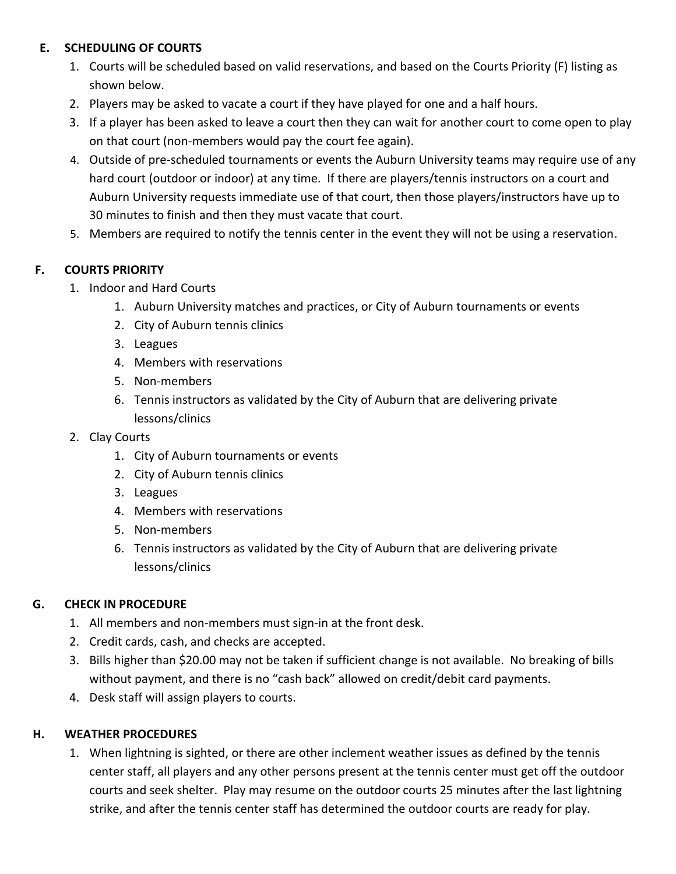# **E. SCHEDULING OF COURTS**

- 1. Courts will be scheduled based on valid reservations, and based on the Courts Priority (F) listing as shown below.
- 2. Players may be asked to vacate a court if they have played for one and a half hours.
- 3. If a player has been asked to leave a court then they can wait for another court to come open to play on that court (non-members would pay the court fee again).
- 4. Outside of pre-scheduled tournaments or events the Auburn University teams may require use of any hard court (outdoor or indoor) at any time. If there are players/tennis instructors on a court and Auburn University requests immediate use of that court, then those players/instructors have up to 30 minutes to finish and then they must vacate that court.
- 5. Members are required to notify the tennis center in the event they will not be using a reservation.

## **F. COURTS PRIORITY**

- 1. Indoor and Hard Courts
	- 1. Auburn University matches and practices, or City of Auburn tournaments or events
	- 2. City of Auburn tennis clinics
	- 3. Leagues
	- 4. Members with reservations
	- 5. Non-members
	- 6. Tennis instructors as validated by the City of Auburn that are delivering private lessons/clinics
- 2. Clay Courts
	- 1. City of Auburn tournaments or events
	- 2. City of Auburn tennis clinics
	- 3. Leagues
	- 4. Members with reservations
	- 5. Non-members
	- 6. Tennis instructors as validated by the City of Auburn that are delivering private lessons/clinics

# **G. CHECK IN PROCEDURE**

- 1. All members and non-members must sign-in at the front desk.
- 2. Credit cards, cash, and checks are accepted.
- 3. Bills higher than \$20.00 may not be taken if sufficient change is not available. No breaking of bills without payment, and there is no "cash back" allowed on credit/debit card payments.
- 4. Desk staff will assign players to courts.

## **H. WEATHER PROCEDURES**

1. When lightning is sighted, or there are other inclement weather issues as defined by the tennis center staff, all players and any other persons present at the tennis center must get off the outdoor courts and seek shelter. Play may resume on the outdoor courts 25 minutes after the last lightning strike, and after the tennis center staff has determined the outdoor courts are ready for play.